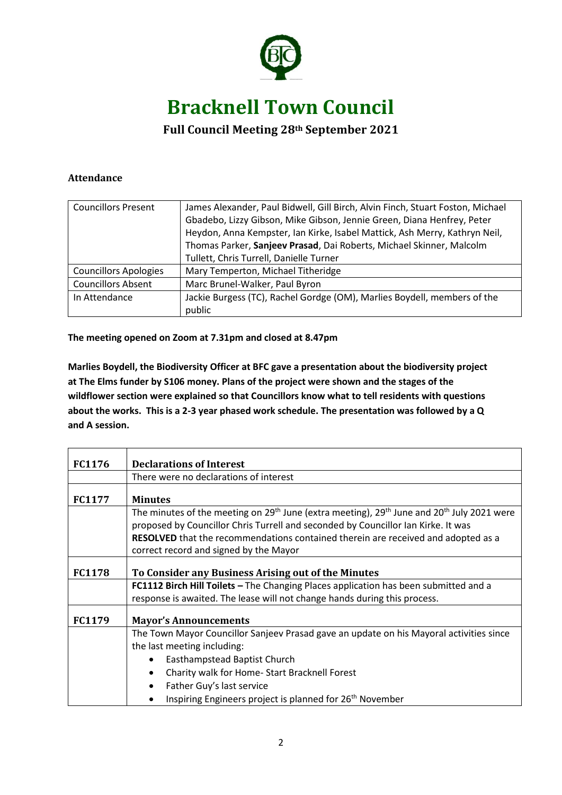

## **Bracknell Town Council**

## **Full Council Meeting 28th September 2021**

## **Attendance**

| <b>Councillors Present</b>   | James Alexander, Paul Bidwell, Gill Birch, Alvin Finch, Stuart Foston, Michael |
|------------------------------|--------------------------------------------------------------------------------|
|                              | Gbadebo, Lizzy Gibson, Mike Gibson, Jennie Green, Diana Henfrey, Peter         |
|                              | Heydon, Anna Kempster, Ian Kirke, Isabel Mattick, Ash Merry, Kathryn Neil,     |
|                              | Thomas Parker, Sanjeev Prasad, Dai Roberts, Michael Skinner, Malcolm           |
|                              | Tullett, Chris Turrell, Danielle Turner                                        |
| <b>Councillors Apologies</b> | Mary Temperton, Michael Titheridge                                             |
| <b>Councillors Absent</b>    | Marc Brunel-Walker, Paul Byron                                                 |
| In Attendance                | Jackie Burgess (TC), Rachel Gordge (OM), Marlies Boydell, members of the       |
|                              | public                                                                         |

**The meeting opened on Zoom at 7.31pm and closed at 8.47pm**

**Marlies Boydell, the Biodiversity Officer at BFC gave a presentation about the biodiversity project at The Elms funder by S106 money. Plans of the project were shown and the stages of the wildflower section were explained so that Councillors know what to tell residents with questions about the works. This is a 2-3 year phased work schedule. The presentation was followed by a Q and A session.**

| FC1176        | <b>Declarations of Interest</b>                                                                                                                                                                                     |
|---------------|---------------------------------------------------------------------------------------------------------------------------------------------------------------------------------------------------------------------|
|               | There were no declarations of interest                                                                                                                                                                              |
| <b>FC1177</b> | <b>Minutes</b>                                                                                                                                                                                                      |
|               | The minutes of the meeting on 29 <sup>th</sup> June (extra meeting), 29 <sup>th</sup> June and 20 <sup>th</sup> July 2021 were<br>proposed by Councillor Chris Turrell and seconded by Councillor Ian Kirke. It was |
|               | <b>RESOLVED</b> that the recommendations contained therein are received and adopted as a<br>correct record and signed by the Mayor                                                                                  |
| <b>FC1178</b> | To Consider any Business Arising out of the Minutes                                                                                                                                                                 |
|               | FC1112 Birch Hill Toilets - The Changing Places application has been submitted and a                                                                                                                                |
|               | response is awaited. The lease will not change hands during this process.                                                                                                                                           |
| <b>FC1179</b> | <b>Mayor's Announcements</b>                                                                                                                                                                                        |
|               | The Town Mayor Councillor Sanjeev Prasad gave an update on his Mayoral activities since                                                                                                                             |
|               | the last meeting including:                                                                                                                                                                                         |
|               | Easthampstead Baptist Church                                                                                                                                                                                        |
|               | Charity walk for Home-Start Bracknell Forest                                                                                                                                                                        |
|               | Father Guy's last service                                                                                                                                                                                           |
|               | Inspiring Engineers project is planned for 26 <sup>th</sup> November                                                                                                                                                |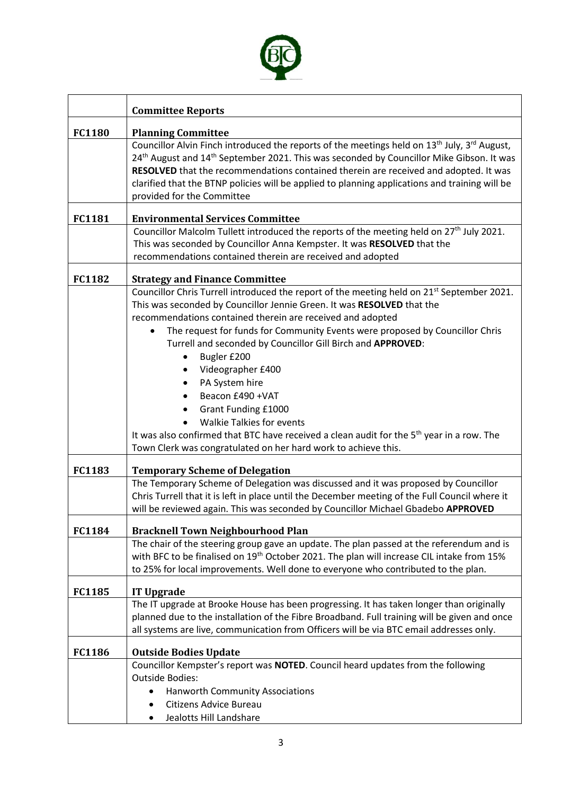

| <b>Committee Reports</b>                                                                                                                                                                                                                                                                                                                                                                                                           |  |
|------------------------------------------------------------------------------------------------------------------------------------------------------------------------------------------------------------------------------------------------------------------------------------------------------------------------------------------------------------------------------------------------------------------------------------|--|
| <b>Planning Committee</b>                                                                                                                                                                                                                                                                                                                                                                                                          |  |
| Councillor Alvin Finch introduced the reports of the meetings held on 13 <sup>th</sup> July, 3 <sup>rd</sup> August,<br>24 <sup>th</sup> August and 14 <sup>th</sup> September 2021. This was seconded by Councillor Mike Gibson. It was<br>RESOLVED that the recommendations contained therein are received and adopted. It was<br>clarified that the BTNP policies will be applied to planning applications and training will be |  |
| provided for the Committee                                                                                                                                                                                                                                                                                                                                                                                                         |  |
| <b>Environmental Services Committee</b>                                                                                                                                                                                                                                                                                                                                                                                            |  |
| Councillor Malcolm Tullett introduced the reports of the meeting held on 27 <sup>th</sup> July 2021.<br>This was seconded by Councillor Anna Kempster. It was RESOLVED that the<br>recommendations contained therein are received and adopted                                                                                                                                                                                      |  |
| <b>Strategy and Finance Committee</b>                                                                                                                                                                                                                                                                                                                                                                                              |  |
| Councillor Chris Turrell introduced the report of the meeting held on 21 <sup>st</sup> September 2021.<br>This was seconded by Councillor Jennie Green. It was RESOLVED that the<br>recommendations contained therein are received and adopted                                                                                                                                                                                     |  |
| The request for funds for Community Events were proposed by Councillor Chris<br>Turrell and seconded by Councillor Gill Birch and APPROVED:<br>Bugler £200<br>٠                                                                                                                                                                                                                                                                    |  |
| Videographer £400                                                                                                                                                                                                                                                                                                                                                                                                                  |  |
| PA System hire                                                                                                                                                                                                                                                                                                                                                                                                                     |  |
| Beacon £490 + VAT<br>Grant Funding £1000                                                                                                                                                                                                                                                                                                                                                                                           |  |
| <b>Walkie Talkies for events</b>                                                                                                                                                                                                                                                                                                                                                                                                   |  |
| It was also confirmed that BTC have received a clean audit for the 5 <sup>th</sup> year in a row. The<br>Town Clerk was congratulated on her hard work to achieve this.                                                                                                                                                                                                                                                            |  |
| <b>Temporary Scheme of Delegation</b>                                                                                                                                                                                                                                                                                                                                                                                              |  |
| The Temporary Scheme of Delegation was discussed and it was proposed by Councillor<br>Chris Turrell that it is left in place until the December meeting of the Full Council where it<br>will be reviewed again. This was seconded by Councillor Michael Gbadebo APPROVED                                                                                                                                                           |  |
| <b>Bracknell Town Neighbourhood Plan</b>                                                                                                                                                                                                                                                                                                                                                                                           |  |
| The chair of the steering group gave an update. The plan passed at the referendum and is<br>with BFC to be finalised on 19 <sup>th</sup> October 2021. The plan will increase CIL intake from 15%<br>to 25% for local improvements. Well done to everyone who contributed to the plan.                                                                                                                                             |  |
| <b>IT Upgrade</b>                                                                                                                                                                                                                                                                                                                                                                                                                  |  |
| The IT upgrade at Brooke House has been progressing. It has taken longer than originally<br>planned due to the installation of the Fibre Broadband. Full training will be given and once<br>all systems are live, communication from Officers will be via BTC email addresses only.                                                                                                                                                |  |
| <b>Outside Bodies Update</b>                                                                                                                                                                                                                                                                                                                                                                                                       |  |
| Councillor Kempster's report was NOTED. Council heard updates from the following                                                                                                                                                                                                                                                                                                                                                   |  |
| <b>Outside Bodies:</b>                                                                                                                                                                                                                                                                                                                                                                                                             |  |
| <b>Hanworth Community Associations</b><br>Citizens Advice Bureau                                                                                                                                                                                                                                                                                                                                                                   |  |
| Jealotts Hill Landshare<br>$\bullet$                                                                                                                                                                                                                                                                                                                                                                                               |  |
|                                                                                                                                                                                                                                                                                                                                                                                                                                    |  |